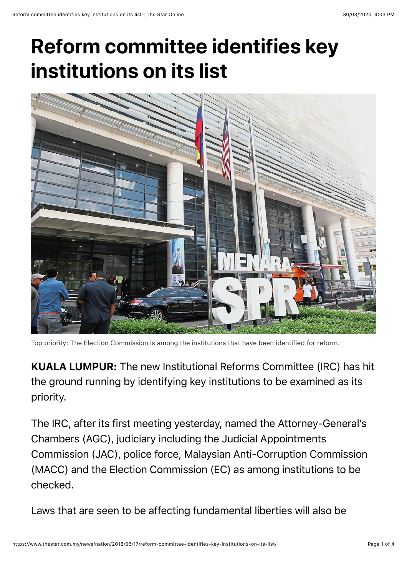## **Reform committee identifies key institutions on its list**



Top priority: The Election Commission is among the institutions that have been identified for reform.

KUALA LUMPUR: The new Institutional Reforms Committee (IRC) has hit the ground running by identifying key institutions to be examined as its priority.

The IRC, after its first meeting yesterday, named the Attorney-General's Chambers (AGC), judiciary including the Judicial Appointments Commission (JAC), police force, Malaysian Anti-Corruption Commission (MACC) and the Election Commission (EC) as among institutions to be checked.

Laws that are seen to be affecting fundamental liberties will also be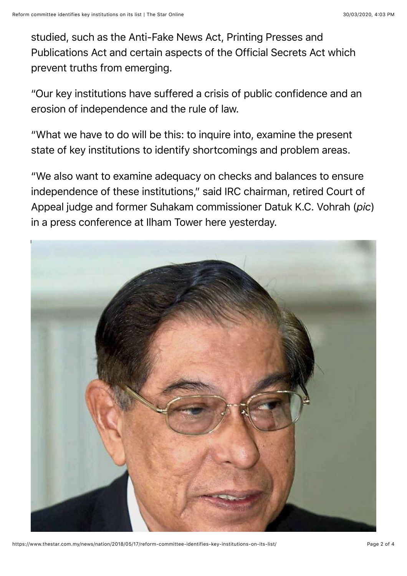studied, such as the Anti-Fake News Act, Printing Presses and Publications Act and certain aspects of the Official Secrets Act which prevent truths from emerging.

"Our key institutions have suffered a crisis of public confidence and an erosion of independence and the rule of law.

"What we have to do will be this: to inquire into, examine the present state of key institutions to identify shortcomings and problem areas.

"We also want to examine adequacy on checks and balances to ensure independence of these institutions," said IRC chairman, retired Court of Appeal judge and former Suhakam commissioner Datuk K.C. Vohrah (*pic*) in a press conference at Ilham Tower here yesterday.



https://www.thestar.com.my/news/nation/2018/05/17/reform-committee-identifies-key-institutions-on-its-list/ Page 2 of 4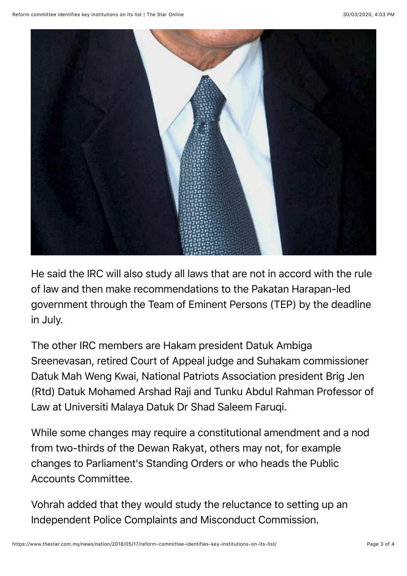

He said the IRC will also study all laws that are not in accord with the rule of law and then make recommendations to the Pakatan Harapan-led government through the Team of Eminent Persons (TEP) by the deadline in July.

The other IRC members are Hakam president Datuk Ambiga Sreenevasan, retired Court of Appeal judge and Suhakam commissioner Datuk Mah Weng Kwai, National Patriots Association president Brig Jen (Rtd) Datuk Mohamed Arshad Raji and Tunku Abdul Rahman Professor of Law at Universiti Malaya Datuk Dr Shad Saleem Faruqi.

While some changes may require a constitutional amendment and a nod from two-thirds of the Dewan Rakyat, others may not, for example changes to Parliament's Standing Orders or who heads the Public Accounts Committee.

Vohrah added that they would study the reluctance to setting up an Independent Police Complaints and Misconduct Commission.